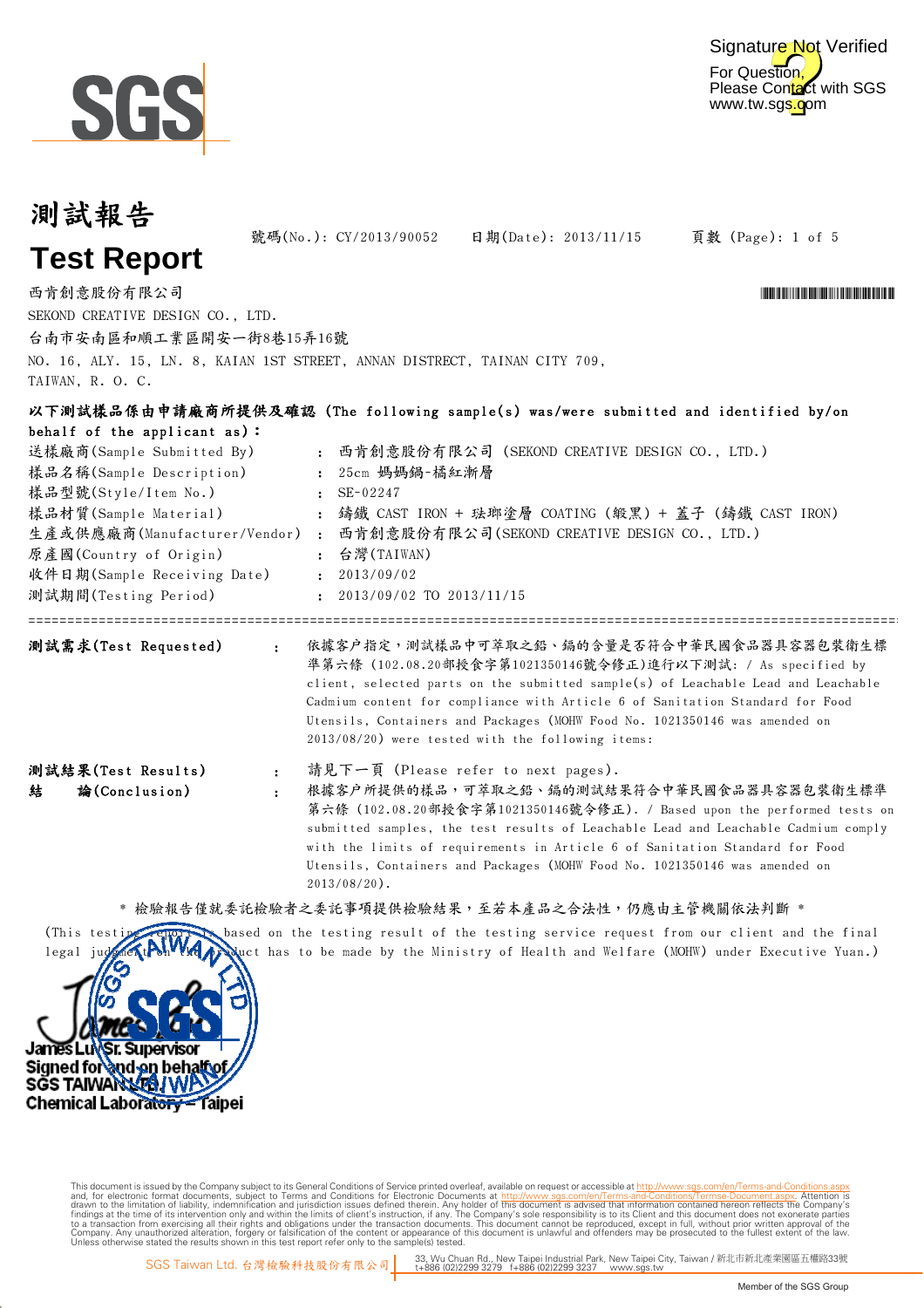

| 測試報告                                                                                                                                                                                                                                 |                                                                                                                                                                                                                                                                                                                                                                                                                                   |  |  |  |  |  |
|--------------------------------------------------------------------------------------------------------------------------------------------------------------------------------------------------------------------------------------|-----------------------------------------------------------------------------------------------------------------------------------------------------------------------------------------------------------------------------------------------------------------------------------------------------------------------------------------------------------------------------------------------------------------------------------|--|--|--|--|--|
| <b>Test Report</b>                                                                                                                                                                                                                   | 號碼(No.): CY/2013/90052<br>日期(Date): 2013/11/15<br>頁數 (Page): 1 of 5                                                                                                                                                                                                                                                                                                                                                               |  |  |  |  |  |
| 西肯創意股份有限公司<br>SEKOND CREATIVE DESIGN CO., LTD.<br>台南市安南區和順工業區開安一街8巷15弄16號<br>TAIWAN, R. O. C.                                                                                                                                        | NO. 16, ALY. 15, LN. 8, KAIAN 1ST STREET, ANNAN DISTRECT, TAINAN CITY 709,                                                                                                                                                                                                                                                                                                                                                        |  |  |  |  |  |
| behalf of the applicant as):<br>送樣廠商(Sample Submitted By)<br>樣品名稱(Sample Description)<br>樣品型號(Style/Item No.)<br>樣品材質(Sample Material)<br>原產國(Country of Origin)<br>收件日期(Sample Receiving Date) : 2013/09/02<br>測試期間(Testing Period) | 以下測試樣品係由申請廠商所提供及確認 (The following sample(s) was/were submitted and identified by/on<br>: 西肯創意股份有限公司 (SEKOND CREATIVE DESIGN CO., LTD.)<br>: 25cm 媽媽鍋-橘紅漸層<br>$\mathsf{SE}\text{-}02247$<br>: 鑄鐵 CAST IRON + 琺瑯塗層 COATING (緞黑) + 蓋子 (鑄鐵 CAST IRON)<br>生產或供應廠商(Manufacturer/Vendor) : 西肯創意股份有限公司(SEKOND CREATIVE DESIGN CO., LTD.)<br>: 台灣(TAIWAN)<br>$: 2013/09/02$ TO $2013/11/15$                                                |  |  |  |  |  |
| 測試需求(Test Requested)<br>$\mathbf{r}$                                                                                                                                                                                                 | 依據客户指定,測試樣品中可萃取之鉛、鎘的含量是否符合中華民國食品器具容器包裝衛生標<br>準第六條 (102.08.20部授食字第1021350146號令修正)進行以下測試: / As specified by<br>client, selected parts on the submitted sample(s) of Leachable Lead and Leachable<br>Cadmium content for compliance with Article 6 of Sanitation Standard for Food<br>Utensils, Containers and Packages (MOHW Food No. 1021350146 was amended on<br>2013/08/20) were tested with the following items:                |  |  |  |  |  |
| 測試結果(Test Results)<br>$\ddot{\phantom{a}}$<br>論(Conclusion)<br>結<br>$\ddot{\cdot}$                                                                                                                                                   | 請見下一頁 (Please refer to next pages).<br>根據客户所提供的樣品,可萃取之鉛、鎘的測試結果符合中華民國食品器具容器包裝衛生標準<br>第六條 (102.08.20部授食字第1021350146號令修正). / Based upon the performed tests on<br>submitted samples, the test results of Leachable Lead and Leachable Cadmium comply<br>with the limits of requirements in Article 6 of Sanitation Standard for Food<br>Utensils, Containers and Packages (MOHW Food No. 1021350146 was amended on<br>$2013/08/20$ . |  |  |  |  |  |

\* 檢驗報告僅就委託檢驗者之委託事項提供檢驗結果,至若本產品之合法性,仍應由主管機關依法判斷 \*





Digitally signed by www.wmholetech.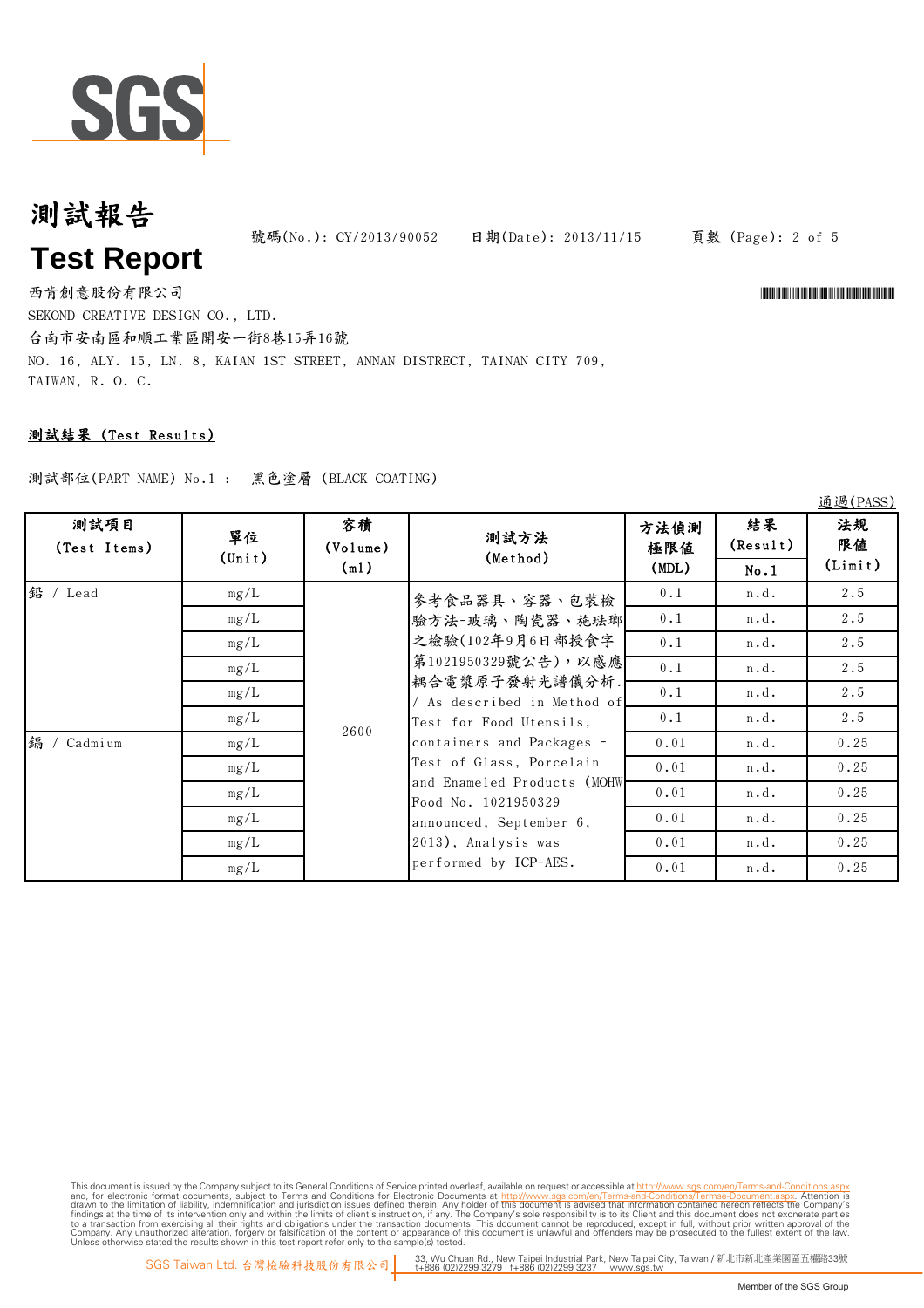

# 測試報告 **Test Report**

號碼(No.): CY/2013/90052 日期(Date): 2013/11/15

頁數 (Page): 2 of 5

通過(PASS)

西肯創意股份有限公司 \*CY/2013/90052\* SEKOND CREATIVE DESIGN CO., LTD.

台南市安南區和順工業區開安一街8巷15弄16號 NO. 16, ALY. 15, LN. 8, KAIAN 1ST STREET, ANNAN DISTRECT, TAINAN CITY 709, TAIWAN, R. O. C.

## 測試結果 (Test Results)

測試部位(PART NAME) No.1 : 黑色塗層 (BLACK COATING)

|                      |                       |                |                                                                                                                                                                                                                                                                                                                                                  |             |                | $\approx$ $\sim$ $\sim$ $\sim$ |
|----------------------|-----------------------|----------------|--------------------------------------------------------------------------------------------------------------------------------------------------------------------------------------------------------------------------------------------------------------------------------------------------------------------------------------------------|-------------|----------------|--------------------------------|
| 測試項目<br>(Test Items) | 單位<br>$(\text{Unit})$ | 容積<br>(Volume) | 測試方法<br>(Method)                                                                                                                                                                                                                                                                                                                                 | 方法偵測<br>極限値 | 結果<br>(Result) | 法規<br>限值                       |
|                      |                       | (m1)           |                                                                                                                                                                                                                                                                                                                                                  | (MDL)       | No.1           | (Limit)                        |
| 鉛 / Lead             | mg/L                  | 2600           | 參考食品器具、容器、包裝檢<br>驗方法-玻璃、陶瓷器、施珐瑯<br>之檢驗(102年9月6日部授食字<br>第1021950329號公告),以感應<br>耦合電漿原子發射光譜儀分析.<br>/ As described in Method of<br>Test for Food Utensils,<br>containers and Packages -<br>Test of Glass, Porcelain<br>and Enameled Products (MOHW<br>Food No. 1021950329<br>announced, September 6,<br>2013), Analysis was<br>performed by ICP-AES. | 0.1         | n.d.           | 2.5                            |
|                      | mg/L                  |                |                                                                                                                                                                                                                                                                                                                                                  | 0.1         | n.d.           | 2.5                            |
|                      | mg/L                  |                |                                                                                                                                                                                                                                                                                                                                                  | 0.1         | n.d.           | 2.5                            |
|                      | mg/L                  |                |                                                                                                                                                                                                                                                                                                                                                  | 0.1         | n.d.           | 2.5                            |
|                      | mg/L                  |                |                                                                                                                                                                                                                                                                                                                                                  | 0.1         | n.d.           | 2.5                            |
|                      | mg/L                  |                |                                                                                                                                                                                                                                                                                                                                                  | 0.1         | n.d.           | 2.5                            |
| 鎘 /<br>Cadmium       | mg/L                  |                |                                                                                                                                                                                                                                                                                                                                                  | 0.01        | n.d.           | 0.25                           |
|                      | mg/L                  |                |                                                                                                                                                                                                                                                                                                                                                  | 0.01        | n.d.           | 0.25                           |
|                      | mg/L                  |                |                                                                                                                                                                                                                                                                                                                                                  | 0.01        | n.d.           | 0.25                           |
|                      | mg/L                  |                |                                                                                                                                                                                                                                                                                                                                                  | 0.01        | n.d.           | 0.25                           |
|                      | mg/L                  |                |                                                                                                                                                                                                                                                                                                                                                  | 0.01        | n.d.           | 0.25                           |
|                      | mg/L                  |                |                                                                                                                                                                                                                                                                                                                                                  | 0.01        | n.d.           | 0.25                           |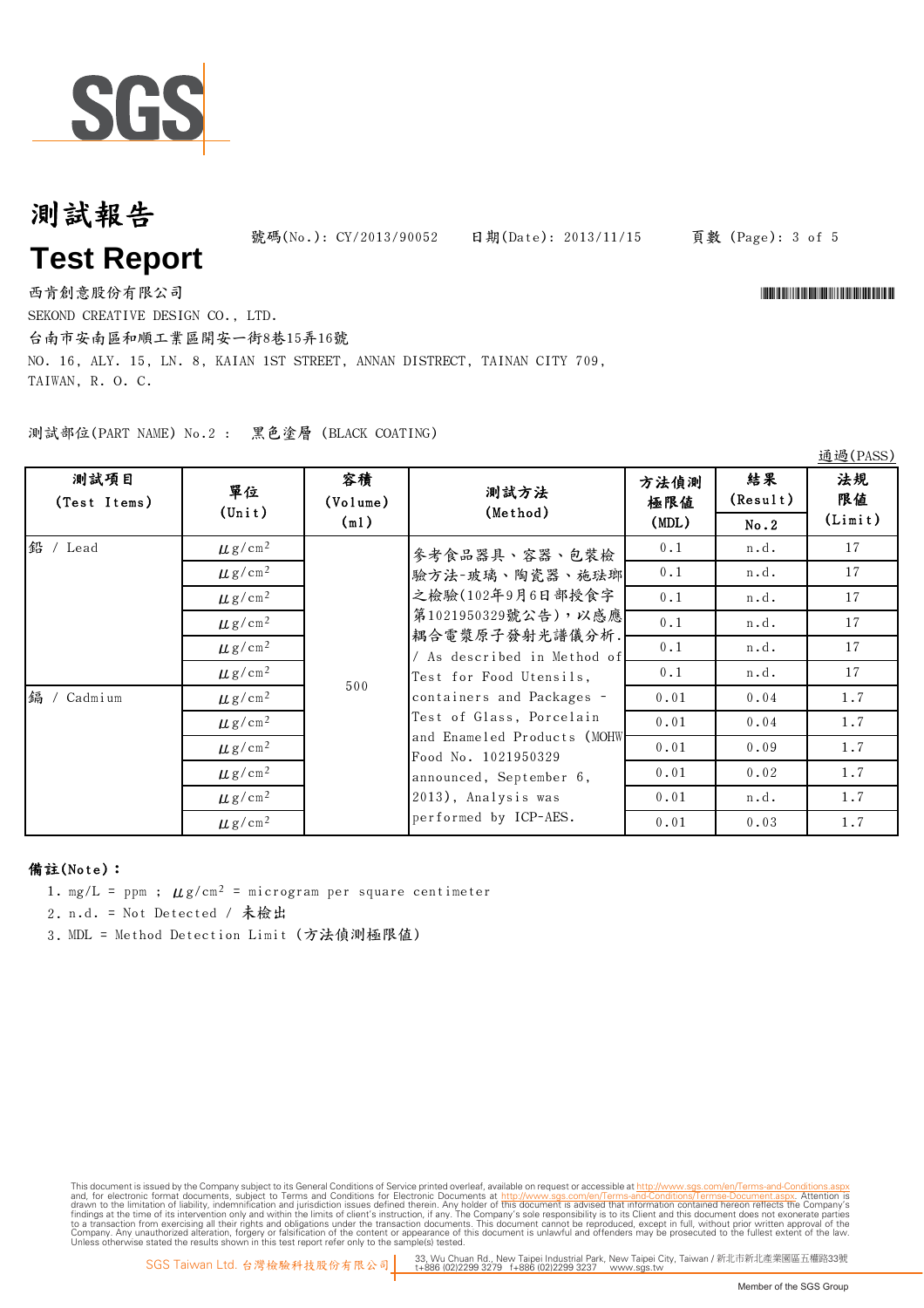

# 測試報告 **Test Report**

號碼(No.): CY/2013/90052 日期(Date): 2013/11/15

#### 頁數 (Page): 3 of 5

西肯創意股份有限公司 \*CY/2013/90052\* SEKOND CREATIVE DESIGN CO., LTD.

台南市安南區和順工業區開安一街8巷15弄16號

NO. 16, ALY. 15, LN. 8, KAIAN 1ST STREET, ANNAN DISTRECT, TAINAN CITY 709, TAIWAN, R. O. C.

測試部位(PART NAME) No.2 : 黑色塗層 (BLACK COATING)

| 測試項目<br>(Test Items) | 單位<br>$(\text{Unit})$   | 容積<br>(Volume)<br>(m1) | 測試方法<br>(Method)                                                                                                                                                                                                                                                                                                                                 | 方法偵測<br>極限値<br>(MDL) | 結果<br>(Result)<br>No.2 | 法規<br>限值<br>(Limit) |
|----------------------|-------------------------|------------------------|--------------------------------------------------------------------------------------------------------------------------------------------------------------------------------------------------------------------------------------------------------------------------------------------------------------------------------------------------|----------------------|------------------------|---------------------|
| 鉛 / Lead             | $\mu$ g/cm <sup>2</sup> | 500                    | 參考食品器具、容器、包裝檢<br>驗方法-玻璃、陶瓷器、施珐瑯<br>之檢驗(102年9月6日部授食字<br>第1021950329號公告),以感應<br>耦合電漿原子發射光譜儀分析.<br>/ As described in Method of<br>Test for Food Utensils,<br>containers and Packages -<br>Test of Glass, Porcelain<br>and Enameled Products (MOHW<br>Food No. 1021950329<br>announced, September 6,<br>2013), Analysis was<br>performed by ICP-AES. | 0.1                  | n.d.                   | 17                  |
| 编 / Cadmium          | $\mu$ g/cm <sup>2</sup> |                        |                                                                                                                                                                                                                                                                                                                                                  | 0.1                  | n.d.                   | 17                  |
|                      | $\mu$ g/cm <sup>2</sup> |                        |                                                                                                                                                                                                                                                                                                                                                  | 0.1                  | n.d.                   | 17                  |
|                      | $\mu$ g/cm <sup>2</sup> |                        |                                                                                                                                                                                                                                                                                                                                                  | 0.1                  | n.d.                   | 17                  |
|                      | $\mu$ g/cm <sup>2</sup> |                        |                                                                                                                                                                                                                                                                                                                                                  | 0.1                  | n.d.                   | 17                  |
|                      | $\mu$ g/cm <sup>2</sup> |                        |                                                                                                                                                                                                                                                                                                                                                  | 0.1                  | n.d.                   | 17                  |
|                      | $\mu$ g/cm <sup>2</sup> |                        |                                                                                                                                                                                                                                                                                                                                                  | 0.01                 | 0.04                   | 1.7                 |
|                      | $\mu$ g/cm <sup>2</sup> |                        |                                                                                                                                                                                                                                                                                                                                                  | 0.01                 | 0.04                   | 1.7                 |
|                      | $\mu$ g/cm <sup>2</sup> |                        |                                                                                                                                                                                                                                                                                                                                                  | 0.01                 | 0.09                   | 1.7                 |
|                      | $\mu$ g/cm <sup>2</sup> |                        |                                                                                                                                                                                                                                                                                                                                                  | 0.01                 | 0.02                   | 1.7                 |
|                      | $\mu$ g/cm <sup>2</sup> |                        |                                                                                                                                                                                                                                                                                                                                                  | 0.01                 | n.d.                   | 1.7                 |
|                      | $\mu$ g/cm <sup>2</sup> |                        |                                                                                                                                                                                                                                                                                                                                                  | 0.01                 | 0.03                   | 1.7                 |

### 備註(Note):

1. mg/L = ppm ;  $\mu$ g/cm<sup>2</sup> = microgram per square centimeter

2. n.d. = Not Detected / 未檢出

3. MDL = Method Detection Limit (方法偵測極限值)

This document is issued by the Company subject to Terms and Conditions of Service printed overleaf, available on request or aceasible at th<u>it p//www.sgs.com/en/Terms-and-Conditions/Termse-Document as apy the Company subje</u>

通過(PASS)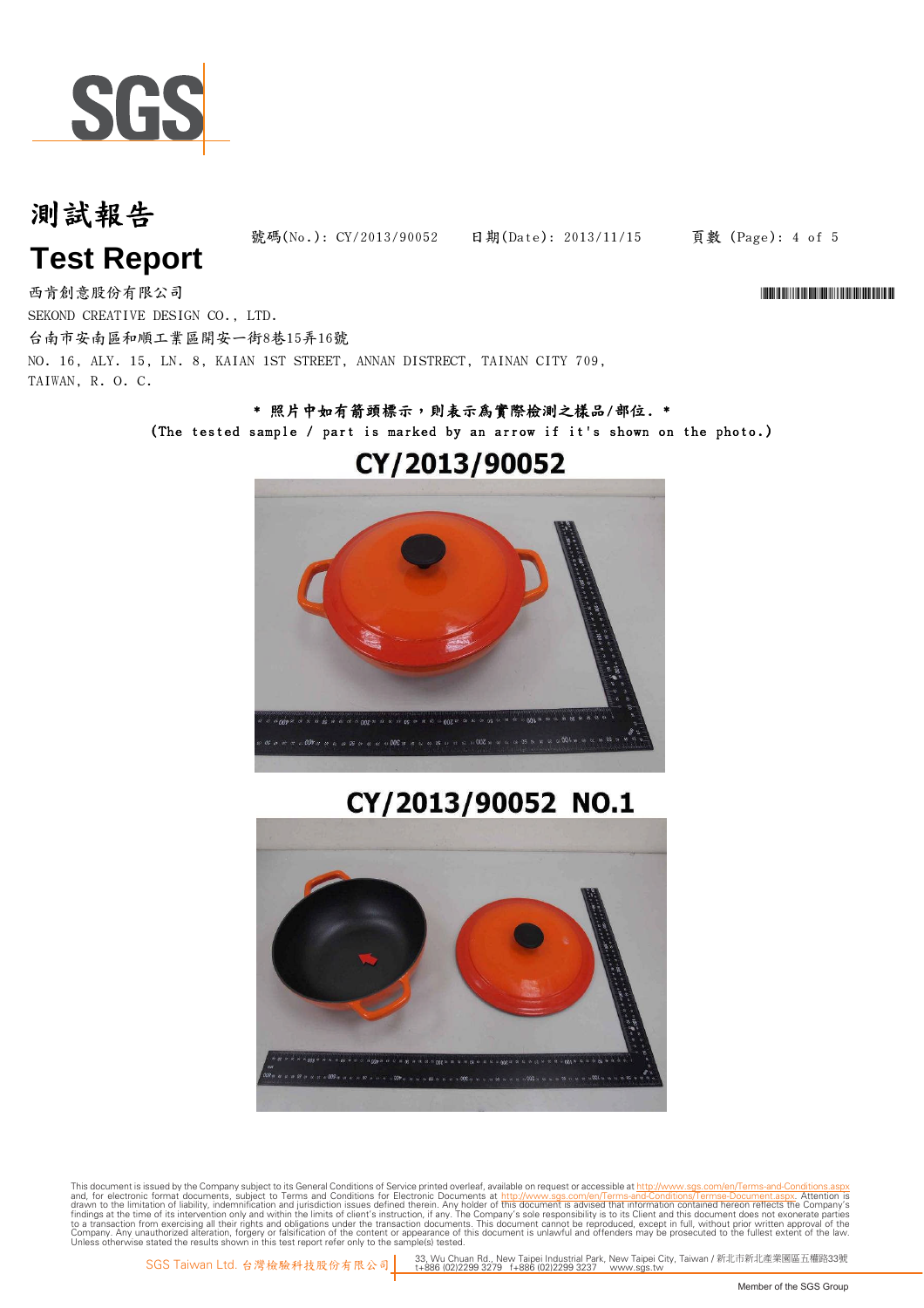

# 測試報告

**Test Report**

號碼(No.): CY/2013/90052 日期(Date): 2013/11/15

頁數 (Page): 4 of 5

西肯創意股份有限公司 \*CY/2013/90052\* SEKOND CREATIVE DESIGN CO., LTD. 台南市安南區和順工業區開安一街8巷15弄16號 NO. 16, ALY. 15, LN. 8, KAIAN 1ST STREET, ANNAN DISTRECT, TAINAN CITY 709, TAIWAN, R. O. C.

### \* 照片中如有箭頭標示,則表示為實際檢測之樣品/部位. \* (The tested sample / part is marked by an arrow if it's shown on the photo.)



## CY/2013/90052

## CY/2013/90052 NO.1